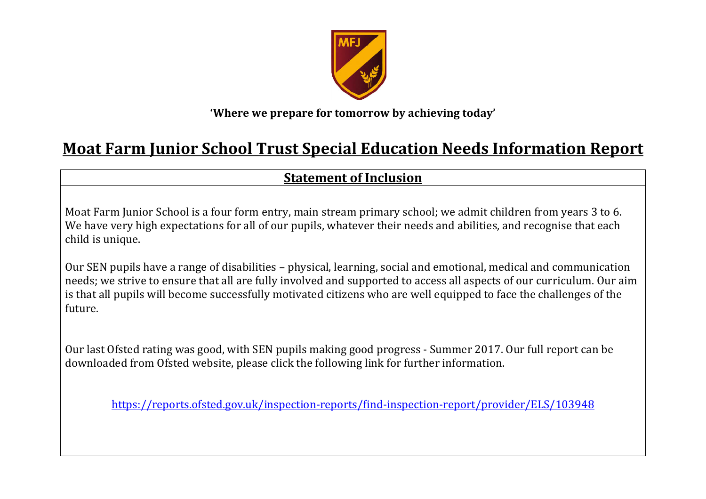

#### **'Where we prepare for tomorrow by achieving today'**

# **Moat Farm Junior School Trust Special Education Needs Information Report**

# **Statement of Inclusion**

Moat Farm Junior School is a four form entry, main stream primary school; we admit children from years 3 to 6. We have very high expectations for all of our pupils, whatever their needs and abilities, and recognise that each child is unique.

Our SEN pupils have a range of disabilities – physical, learning, social and emotional, medical and communication needs; we strive to ensure that all are fully involved and supported to access all aspects of our curriculum. Our aim is that all pupils will become successfully motivated citizens who are well equipped to face the challenges of the future.

Our last Ofsted rating was good, with SEN pupils making good progress - Summer 2017. Our full report can be downloaded from Ofsted website, please click the following link for further information.

https://reports.ofsted.gov.uk/inspection-reports/find-inspection-report/provider/ELS/103948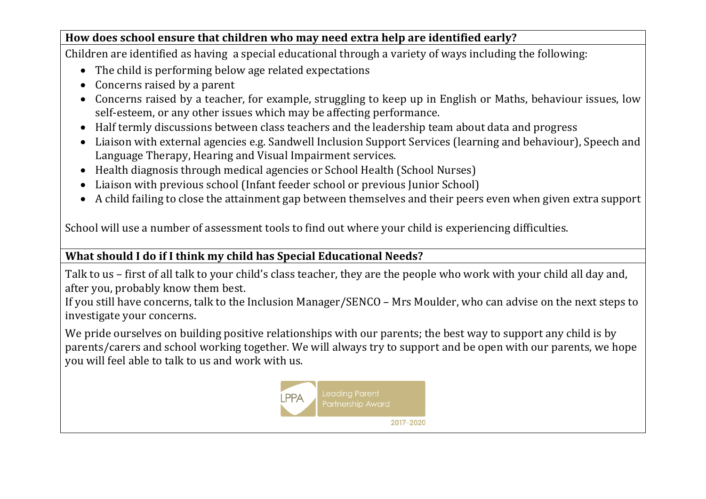#### How does school ensure that children who may need extra help are identified early?

Children are identified as having a special educational through a variety of ways including the following:

- $\bullet$  The child is performing below age related expectations
- $\bullet$  Concerns raised by a parent
- Concerns raised by a teacher, for example, struggling to keep up in English or Maths, behaviour issues, low self-esteem, or any other issues which may be affecting performance.
- Half termly discussions between class teachers and the leadership team about data and progress
- Liaison with external agencies e.g. Sandwell Inclusion Support Services (learning and behaviour), Speech and Language Therapy, Hearing and Visual Impairment services.
- Health diagnosis through medical agencies or School Health (School Nurses)
- Liaison with previous school (Infant feeder school or previous Junior School)
- A child failing to close the attainment gap between themselves and their peers even when given extra support

School will use a number of assessment tools to find out where your child is experiencing difficulties.

#### **What should I do if I think my child has Special Educational Needs?**

Talk to us – first of all talk to your child's class teacher, they are the people who work with your child all day and, after you, probably know them best.

If you still have concerns, talk to the Inclusion Manager/SENCO – Mrs Moulder, who can advise on the next steps to investigate your concerns.

We pride ourselves on building positive relationships with our parents; the best way to support any child is by parents/carers and school working together. We will always try to support and be open with our parents, we hope you will feel able to talk to us and work with us.

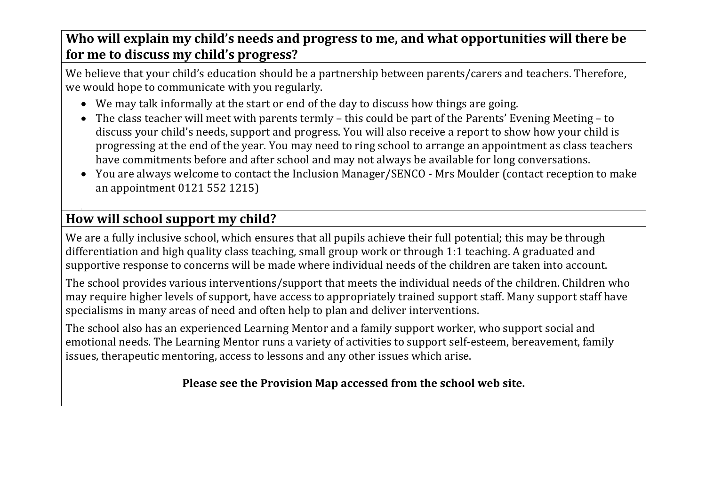# Who will explain my child's needs and progress to me, and what opportunities will there be for me to discuss my child's progress?

We believe that your child's education should be a partnership between parents/carers and teachers. Therefore, we would hope to communicate with you regularly.

- We may talk informally at the start or end of the day to discuss how things are going.
- The class teacher will meet with parents termly this could be part of the Parents' Evening Meeting to discuss your child's needs, support and progress. You will also receive a report to show how your child is progressing at the end of the year. You may need to ring school to arrange an appointment as class teachers have commitments before and after school and may not always be available for long conversations.
- You are always welcome to contact the Inclusion Manager/SENCO Mrs Moulder (contact reception to make an appointment 0121 552 1215)

# How will school support my child?

We are a fully inclusive school, which ensures that all pupils achieve their full potential; this may be through differentiation and high quality class teaching, small group work or through 1:1 teaching. A graduated and supportive response to concerns will be made where individual needs of the children are taken into account.

The school provides various interventions/support that meets the individual needs of the children. Children who may require higher levels of support, have access to appropriately trained support staff. Many support staff have specialisms in many areas of need and often help to plan and deliver interventions.

The school also has an experienced Learning Mentor and a family support worker, who support social and emotional needs. The Learning Mentor runs a variety of activities to support self-esteem, bereavement, family issues, therapeutic mentoring, access to lessons and any other issues which arise.

#### **Please see the Provision Map accessed from the school web site.**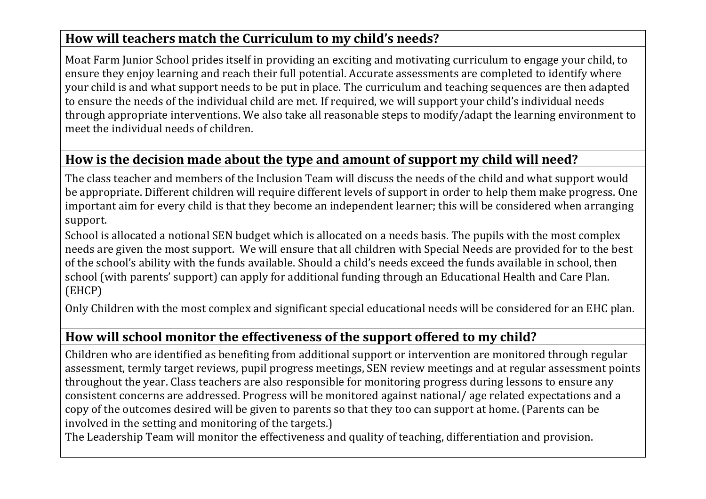## How will teachers match the Curriculum to my child's needs?

Moat Farm Junior School prides itself in providing an exciting and motivating curriculum to engage your child, to ensure they enjoy learning and reach their full potential. Accurate assessments are completed to identify where your child is and what support needs to be put in place. The curriculum and teaching sequences are then adapted to ensure the needs of the individual child are met. If required, we will support your child's individual needs through appropriate interventions. We also take all reasonable steps to modify/adapt the learning environment to meet the individual needs of children.

## How is the decision made about the type and amount of support my child will need?

The class teacher and members of the Inclusion Team will discuss the needs of the child and what support would be appropriate. Different children will require different levels of support in order to help them make progress. One important aim for every child is that they become an independent learner; this will be considered when arranging support.

School is allocated a notional SEN budget which is allocated on a needs basis. The pupils with the most complex needs are given the most support. We will ensure that all children with Special Needs are provided for to the best of the school's ability with the funds available. Should a child's needs exceed the funds available in school, then school (with parents' support) can apply for additional funding through an Educational Health and Care Plan. (EHCP)

Only Children with the most complex and significant special educational needs will be considered for an EHC plan.

## How will school monitor the effectiveness of the support offered to my child?

Children who are identified as benefiting from additional support or intervention are monitored through regular assessment, termly target reviews, pupil progress meetings, SEN review meetings and at regular assessment points throughout the year. Class teachers are also responsible for monitoring progress during lessons to ensure any consistent concerns are addressed. Progress will be monitored against national/ age related expectations and a copy of the outcomes desired will be given to parents so that they too can support at home. (Parents can be involved in the setting and monitoring of the targets.)

The Leadership Team will monitor the effectiveness and quality of teaching, differentiation and provision.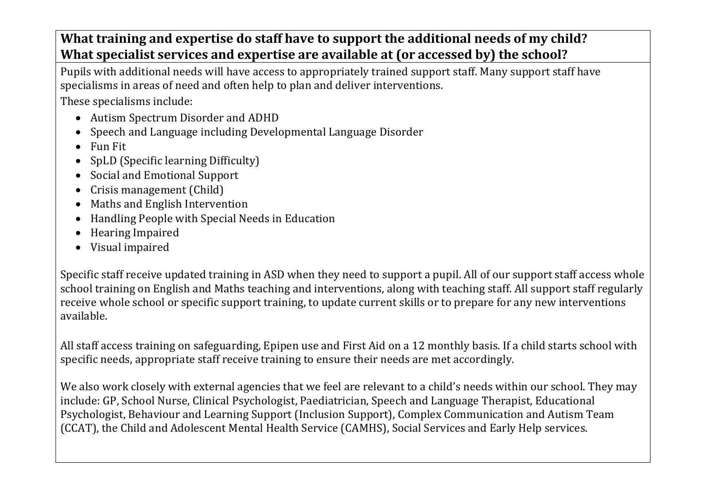# What training and expertise do staff have to support the additional needs of my child? **What specialist services and expertise are available at (or accessed by) the school?**

Pupils with additional needs will have access to appropriately trained support staff. Many support staff have specialisms in areas of need and often help to plan and deliver interventions.

These specialisms include:

- Autism Spectrum Disorder and ADHD
- Speech and Language including Developmental Language Disorder
- Fun Fit
- SpLD (Specific learning Difficulty)
- Social and Emotional Support
- $\bullet$  Crisis management (Child)
- Maths and English Intervention
- Handling People with Special Needs in Education
- Hearing Impaired
- Visual impaired

Specific staff receive updated training in ASD when they need to support a pupil. All of our support staff access whole school training on English and Maths teaching and interventions, along with teaching staff. All support staff regularly receive whole school or specific support training, to update current skills or to prepare for any new interventions available.

All staff access training on safeguarding, Epipen use and First Aid on a 12 monthly basis. If a child starts school with specific needs, appropriate staff receive training to ensure their needs are met accordingly.

We also work closely with external agencies that we feel are relevant to a child's needs within our school. They may include: GP, School Nurse, Clinical Psychologist, Paediatrician, Speech and Language Therapist, Educational Psychologist, Behaviour and Learning Support (Inclusion Support), Complex Communication and Autism Team (CCAT), the Child and Adolescent Mental Health Service (CAMHS), Social Services and Early Help services.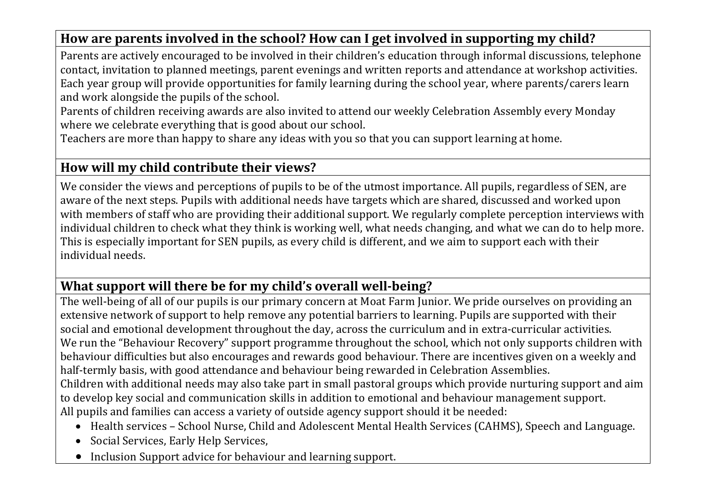# How are parents involved in the school? How can I get involved in supporting my child?

Parents are actively encouraged to be involved in their children's education through informal discussions, telephone contact, invitation to planned meetings, parent evenings and written reports and attendance at workshop activities. Each year group will provide opportunities for family learning during the school year, where parents/carers learn and work alongside the pupils of the school.

Parents of children receiving awards are also invited to attend our weekly Celebration Assembly every Monday where we celebrate everything that is good about our school.

Teachers are more than happy to share any ideas with you so that you can support learning at home.

# How will my child contribute their views?

We consider the views and perceptions of pupils to be of the utmost importance. All pupils, regardless of SEN, are aware of the next steps. Pupils with additional needs have targets which are shared, discussed and worked upon with members of staff who are providing their additional support. We regularly complete perception interviews with individual children to check what they think is working well, what needs changing, and what we can do to help more. This is especially important for SEN pupils, as every child is different, and we aim to support each with their individual needs.

# **What support will there be for my child's overall well-being?**

The well-being of all of our pupils is our primary concern at Moat Farm Junior. We pride ourselves on providing an extensive network of support to help remove any potential barriers to learning. Pupils are supported with their social and emotional development throughout the day, across the curriculum and in extra-curricular activities. We run the "Behaviour Recovery" support programme throughout the school, which not only supports children with behaviour difficulties but also encourages and rewards good behaviour. There are incentives given on a weekly and half-termly basis, with good attendance and behaviour being rewarded in Celebration Assemblies. Children with additional needs may also take part in small pastoral groups which provide nurturing support and aim to develop key social and communication skills in addition to emotional and behaviour management support. All pupils and families can access a variety of outside agency support should it be needed:

- Health services School Nurse, Child and Adolescent Mental Health Services (CAHMS), Speech and Language.
- Social Services, Early Help Services,
- Inclusion Support advice for behaviour and learning support.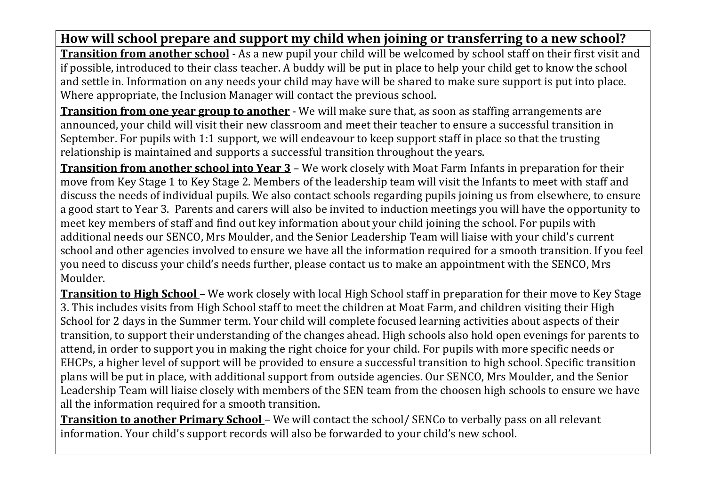## How will school prepare and support my child when joining or transferring to a new school?

**Transition from another school** - As a new pupil your child will be welcomed by school staff on their first visit and if possible, introduced to their class teacher. A buddy will be put in place to help your child get to know the school and settle in. Information on any needs your child may have will be shared to make sure support is put into place. Where appropriate, the Inclusion Manager will contact the previous school.

**Transition from one vear group to another** - We will make sure that, as soon as staffing arrangements are announced, your child will visit their new classroom and meet their teacher to ensure a successful transition in September. For pupils with 1:1 support, we will endeavour to keep support staff in place so that the trusting relationship is maintained and supports a successful transition throughout the years.

**Transition from another school into Year 3** – We work closely with Moat Farm Infants in preparation for their move from Key Stage 1 to Key Stage 2. Members of the leadership team will visit the Infants to meet with staff and discuss the needs of individual pupils. We also contact schools regarding pupils joining us from elsewhere, to ensure a good start to Year 3. Parents and carers will also be invited to induction meetings you will have the opportunity to meet key members of staff and find out key information about your child joining the school. For pupils with additional needs our SENCO, Mrs Moulder, and the Senior Leadership Team will liaise with your child's current school and other agencies involved to ensure we have all the information required for a smooth transition. If you feel you need to discuss your child's needs further, please contact us to make an appointment with the SENCO, Mrs Moulder. 

**Transition to High School** – We work closely with local High School staff in preparation for their move to Key Stage 3. This includes visits from High School staff to meet the children at Moat Farm, and children visiting their High School for 2 days in the Summer term. Your child will complete focused learning activities about aspects of their transition, to support their understanding of the changes ahead. High schools also hold open evenings for parents to attend, in order to support you in making the right choice for your child. For pupils with more specific needs or EHCPs, a higher level of support will be provided to ensure a successful transition to high school. Specific transition plans will be put in place, with additional support from outside agencies. Our SENCO, Mrs Moulder, and the Senior Leadership Team will liaise closely with members of the SEN team from the choosen high schools to ensure we have all the information required for a smooth transition.

**Transition to another Primary School** – We will contact the school/ SENCo to verbally pass on all relevant information. Your child's support records will also be forwarded to your child's new school.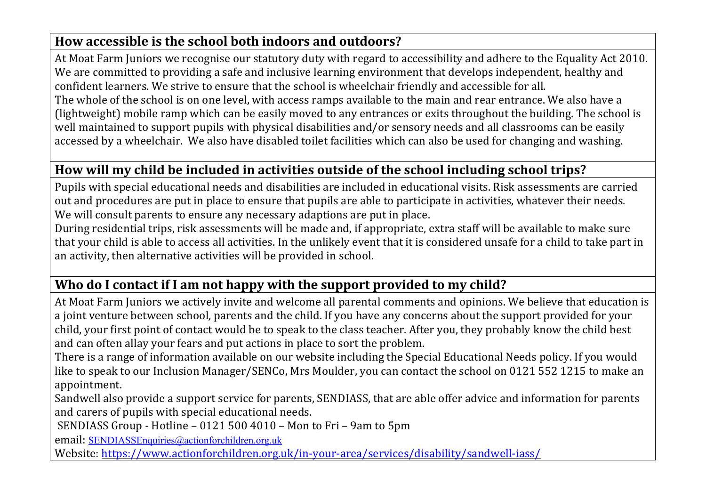# How accessible is the school both indoors and outdoors?

At Moat Farm Juniors we recognise our statutory duty with regard to accessibility and adhere to the Equality Act 2010. We are committed to providing a safe and inclusive learning environment that develops independent, healthy and confident learners. We strive to ensure that the school is wheelchair friendly and accessible for all. The whole of the school is on one level, with access ramps available to the main and rear entrance. We also have a (lightweight) mobile ramp which can be easily moved to any entrances or exits throughout the building. The school is well maintained to support pupils with physical disabilities and/or sensory needs and all classrooms can be easily accessed by a wheelchair. We also have disabled toilet facilities which can also be used for changing and washing.

# How will my child be included in activities outside of the school including school trips?

Pupils with special educational needs and disabilities are included in educational visits. Risk assessments are carried out and procedures are put in place to ensure that pupils are able to participate in activities, whatever their needs. We will consult parents to ensure any necessary adaptions are put in place.

During residential trips, risk assessments will be made and, if appropriate, extra staff will be available to make sure that your child is able to access all activities. In the unlikely event that it is considered unsafe for a child to take part in an activity, then alternative activities will be provided in school.

## Who do I contact if I am not happy with the support provided to my child?

At Moat Farm Juniors we actively invite and welcome all parental comments and opinions. We believe that education is a joint venture between school, parents and the child. If you have any concerns about the support provided for your child, your first point of contact would be to speak to the class teacher. After you, they probably know the child best and can often allay your fears and put actions in place to sort the problem.

There is a range of information available on our website including the Special Educational Needs policy. If you would like to speak to our Inclusion Manager/SENCo, Mrs Moulder, you can contact the school on 0121 552 1215 to make an appointment. 

Sandwell also provide a support service for parents, SENDIASS, that are able offer advice and information for parents and carers of pupils with special educational needs.

SENDIASS Group - Hotline  $-01215004010$  – Mon to Fri – 9am to 5pm

email: SENDIASSEnquiries@actionforchildren.org.uk

Website: https://www.actionforchildren.org.uk/in-your-area/services/disability/sandwell-iass/